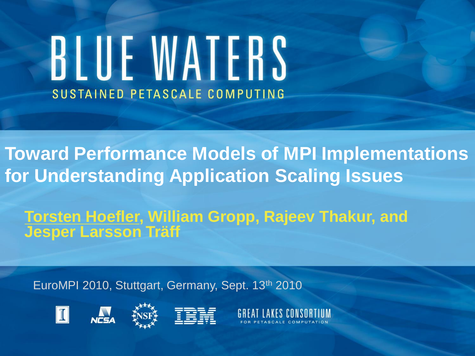# BLUE WATERS SUSTAINED PETASCALE COMPUTING

**Toward Performance Models of MPI Implementations for Understanding Application Scaling Issues**

**Torsten Hoefler, William Gropp, Rajeev Thakur, and Jesper Larsson Träff**

EuroMPI 2010, Stuttgart, Germany, Sept. 13th 2010







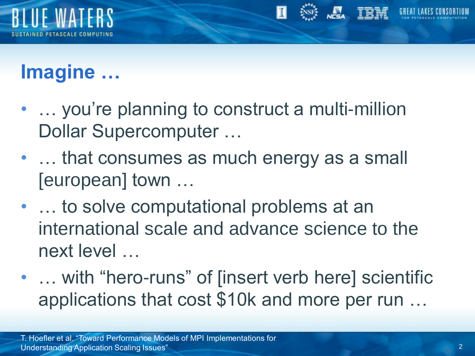

# **Imagine …**

- ... you're planning to construct a multi-million Dollar Supercomputer …
- ... that consumes as much energy as a small [european] town …
- … to solve computational problems at an international scale and advance science to the next level …
- ... with "hero-runs" of [insert verb here] scientific applications that cost \$10k and more per run …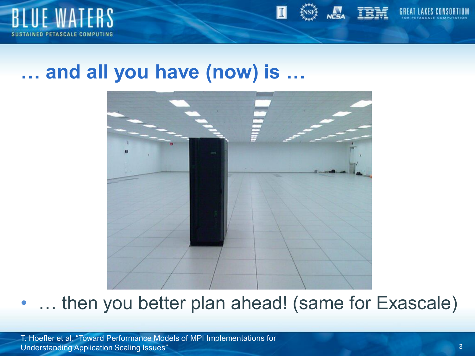



#### **… and all you have (now) is …**



... then you better plan ahead! (same for Exascale)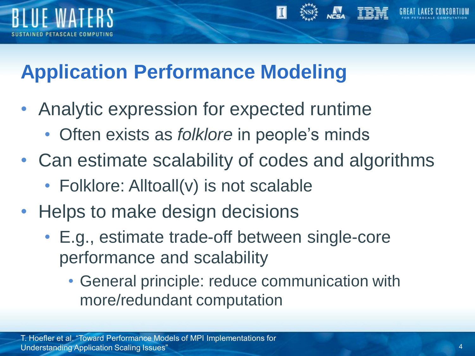

## **Application Performance Modeling**

- Analytic expression for expected runtime
	- Often exists as *folklore* in people's minds
- Can estimate scalability of codes and algorithms
	- Folklore: Alltoall(v) is not scalable
- Helps to make design decisions
	- E.g., estimate trade-off between single-core performance and scalability
		- General principle: reduce communication with more/redundant computation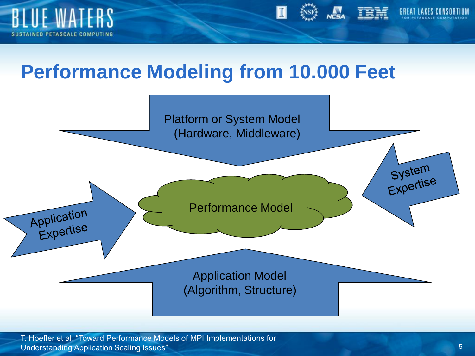



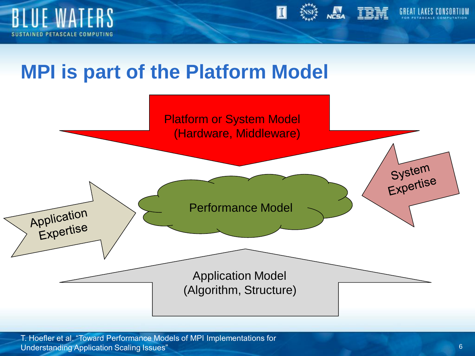



#### **MPI is part of the Platform Model**

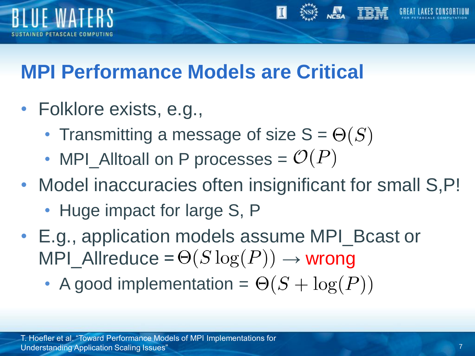

## **MPI Performance Models are Critical**

- Folklore exists, e.g.,
	- Transmitting a message of size  $S = \Theta(S)$
	- MPI\_Alltoall on P processes =  $\mathcal{O}(P)$
- Model inaccuracies often insignificant for small S, P!
	- Huge impact for large S, P
- E.g., application models assume MPI\_Bcast or MPI\_Allreduce =  $\Theta(S \log(P)) \rightarrow$  wrong
	- A good implementation =  $\Theta(S + \log(P))$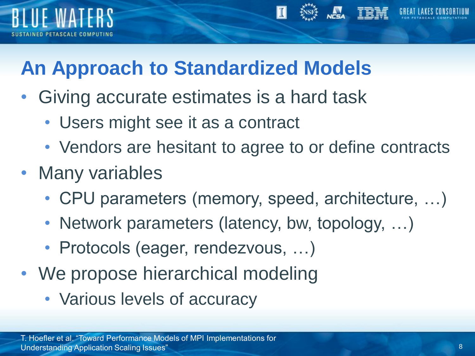

# **An Approach to Standardized Models**

- Giving accurate estimates is a hard task
	- Users might see it as a contract
	- Vendors are hesitant to agree to or define contracts
- Many variables
	- CPU parameters (memory, speed, architecture, …)
	- Network parameters (latency, bw, topology, ...)
	- Protocols (eager, rendezvous, …)
- We propose hierarchical modeling
	- Various levels of accuracy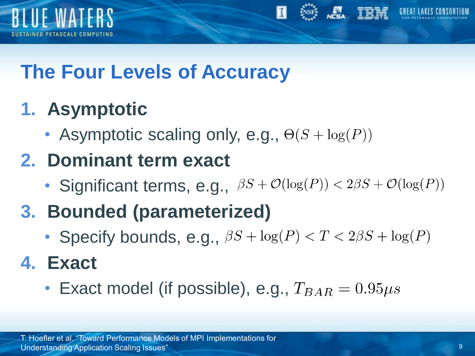



## **The Four Levels of Accuracy**

## **1. Asymptotic**

• Asymptotic scaling only, e.g.,  $\Theta(S + \log(P))$ 

#### **2. Dominant term exact**

- Significant terms, e.g.,  $\beta S + \mathcal{O}(\log(P)) < 2\beta S + \mathcal{O}(\log(P))$
- **3. Bounded (parameterized)**
	- Specify bounds, e.g.,  $\beta S + \log(P) < T < 2\beta S + \log(P)$

#### **4. Exact**

• Exact model (if possible), e.g.,  $T_{BAR} = 0.95 \mu s$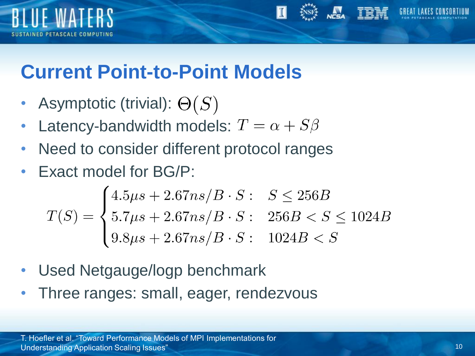



- Asymptotic (trivial):  $\Theta(S)$
- Latency-bandwidth models:  $T = \alpha + S\beta$
- Need to consider different protocol ranges
- Exact model for BG/P:

$$
T(S) = \begin{cases} 4.5\mu s + 2.67ns/B \cdot S: & S \le 256B \\ 5.7\mu s + 2.67ns/B \cdot S: & 256B < S \le 1024B \\ 9.8\mu s + 2.67ns/B \cdot S: & 1024B < S \end{cases}
$$

- Used Netgauge/logp benchmark
- Three ranges: small, eager, rendezvous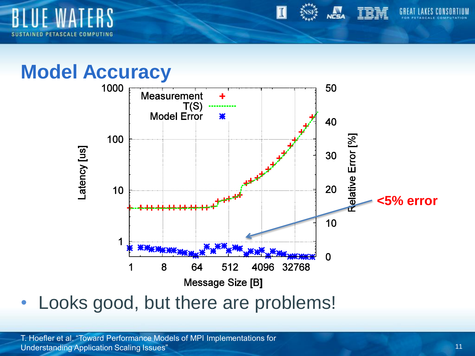

#### **Model Accuracy**



• Looks good, but there are problems!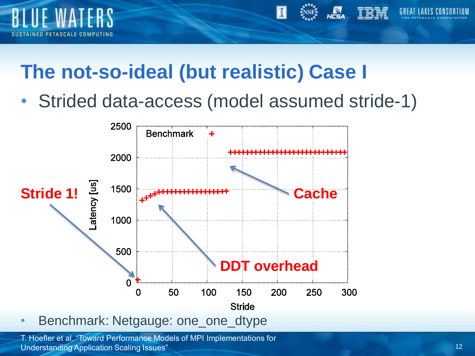

#### **The not-so-ideal (but realistic) Case I**

• Strided data-access (model assumed stride-1)



• Benchmark: Netgauge: one\_one\_dtype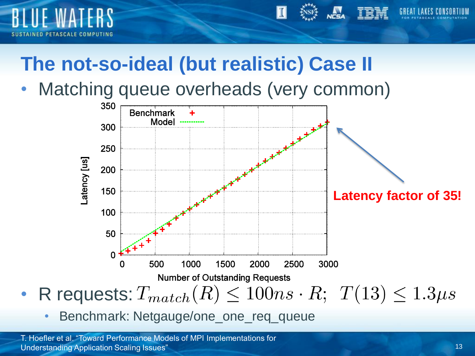

## **The not-so-ideal (but realistic) Case II**

Matching queue overheads (very common)



• Benchmark: Netgauge/one\_one\_req\_queue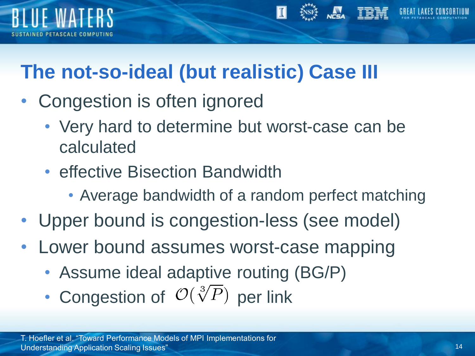

# **The not-so-ideal (but realistic) Case III**

- Congestion is often ignored
	- Very hard to determine but worst-case can be calculated
	- effective Bisection Bandwidth
		- Average bandwidth of a random perfect matching
- Upper bound is congestion-less (see model)
- Lower bound assumes worst-case mapping
	- Assume ideal adaptive routing (BG/P)
	- Congestion of  $\mathcal{O}(\sqrt[3]{P})$  per link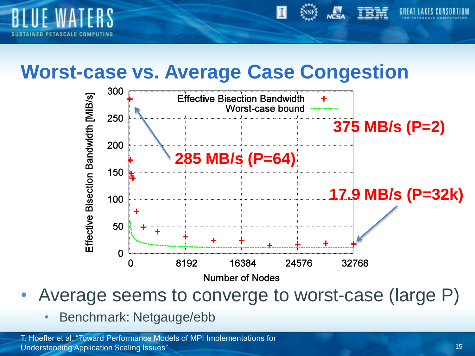

#### **Worst-case vs. Average Case Congestion**



- Average seems to converge to worst-case (large P)
	- Benchmark: Netgauge/ebb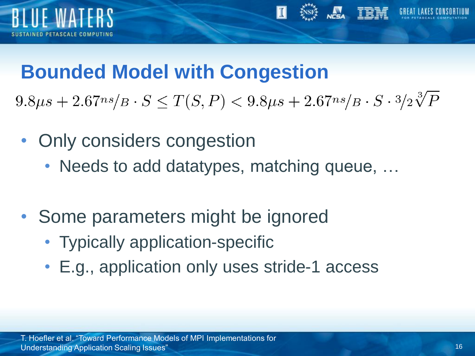

#### **Bounded Model with Congestion**

 $9.8\mu s + 2.67\hbox{ns}/B \cdot S \leq T(S, P) < 9.8\mu s + 2.67\hbox{ns}/B \cdot S \cdot 3/2\sqrt[3]{P}$ 

- Only considers congestion
	- Needs to add datatypes, matching queue, ...
- Some parameters might be ignored
	- Typically application-specific
	- E.g., application only uses stride-1 access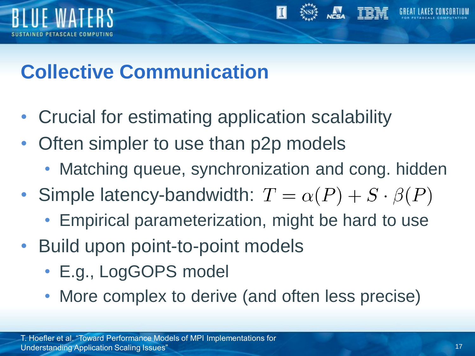

## **Collective Communication**

- Crucial for estimating application scalability
- Often simpler to use than p2p models
	- Matching queue, synchronization and cong. hidden
- Simple latency-bandwidth:  $T = \alpha(P) + S \cdot \beta(P)$ 
	- Empirical parameterization, might be hard to use
- Build upon point-to-point models
	- E.g., LogGOPS model
	- More complex to derive (and often less precise)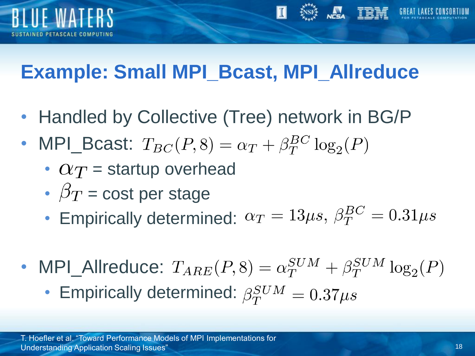

# **Example: Small MPI\_Bcast, MPI\_Allreduce**

- Handled by Collective (Tree) network in BG/P
- MPI\_Bcast:  $T_{BC}(P, 8) = \alpha_T + \beta_T^{BC} \log_2(P)$ 
	- $\alpha_T$  = startup overhead
	- $\beta_T$  = cost per stage
	- Empirically determined:  $\alpha_T = 13 \mu s$ ,  $\beta_T^{BC} = 0.31 \mu s$
- MPI\_Allreduce:  $T_{ARE}(P, 8) = \alpha_T^{SUM} + \beta_T^{SUM} \log_2(P)$ • Empirically determined:  $\beta_T^{SUM} = 0.37 \mu s$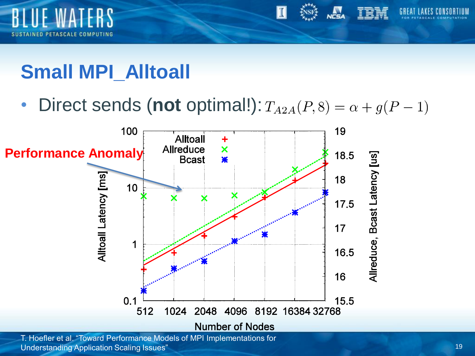

# **Small MPI\_Alltoall**

• Direct sends (not optimal!):  $T_{A2A}(P, 8) = \alpha + g(P - 1)$ 



Understanding Application Scaling Issues"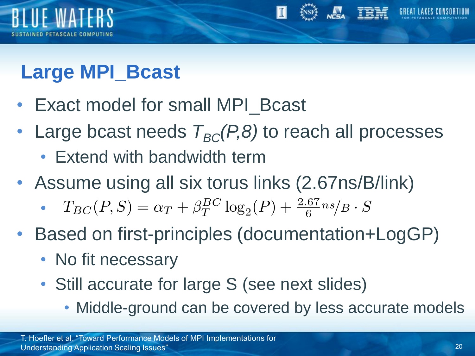

# **Large MPI\_Bcast**

- Exact model for small MPI\_Bcast
- Large bcast needs  $T_{BC}(P,8)$  to reach all processes
	- Extend with bandwidth term
- Assume using all six torus links (2.67ns/B/link)
	- $T_{BC}(P,S) = \alpha_T + \beta_T^{BC} \log_2(P) + \frac{2.67}{6} n s / B \cdot S$ •
- Based on first-principles (documentation+LogGP)
	- No fit necessary
	- Still accurate for large S (see next slides)
		- Middle-ground can be covered by less accurate models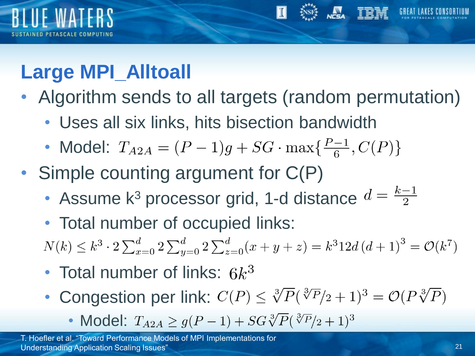

# **Large MPI\_Alltoall**

- Algorithm sends to all targets (random permutation)
	- Uses all six links, hits bisection bandwidth
	- Model:  $T_{A2A} = (P-1)g + SG \cdot \max\{\frac{P-1}{6}, C(P)\}\$
- Simple counting argument for  $C(P)$ 
	- Assume k<sup>3</sup> processor grid, 1-d distance  $d = \frac{k-1}{2}$
	- Total number of occupied links:  $N(k) \leq k^3 \cdot 2 \sum_{x=0}^d 2 \sum_{y=0}^d 2 \sum_{z=0}^d (x+y+z) = k^3 12d (d+1)^3 = \mathcal{O}(k^7)$
	- Total number of links:  $6k^3$
	- Congestion per link:  $C(P) \leq \sqrt[3]{P}(\sqrt[3]{P}/2 + 1)^3 = O(P\sqrt[3]{P})$ 
		- Model:  $T_{A2A} \ge g(P-1) + SG \sqrt[3]{P}(\sqrt[3]{P}/2+1)^3$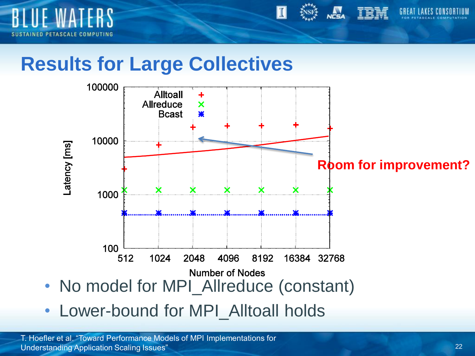



#### **Results for Large Collectives**



• Lower-bound for MPI\_Alltoall holds